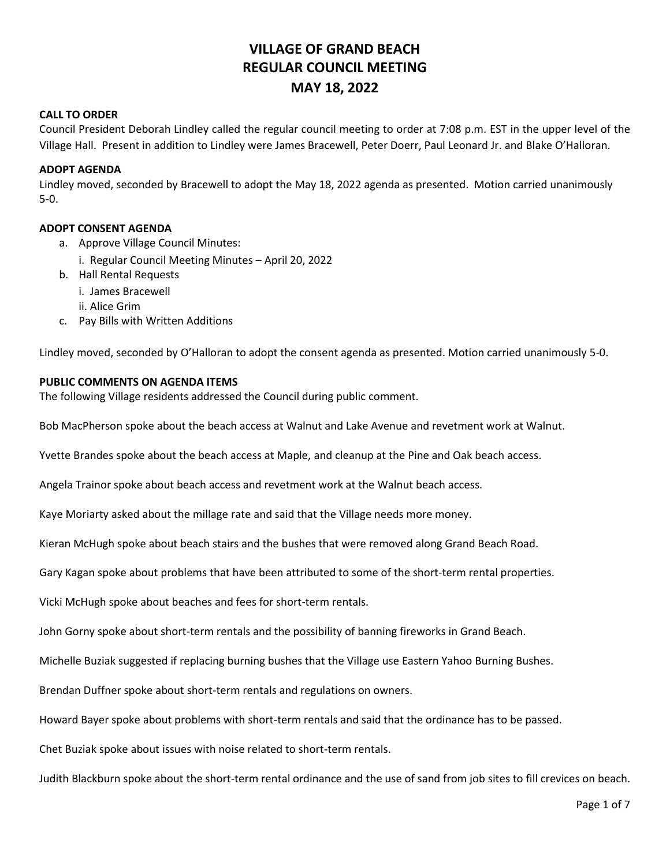# **VILLAGE OF GRAND BEACH REGULAR COUNCIL MEETING MAY 18, 2022**

### **CALL TO ORDER**

Council President Deborah Lindley called the regular council meeting to order at 7:08 p.m. EST in the upper level of the Village Hall. Present in addition to Lindley were James Bracewell, Peter Doerr, Paul Leonard Jr. and Blake O'Halloran.

### **ADOPT AGENDA**

Lindley moved, seconded by Bracewell to adopt the May 18, 2022 agenda as presented. Motion carried unanimously 5-0.

### **ADOPT CONSENT AGENDA**

- a. Approve Village Council Minutes:
	- i. Regular Council Meeting Minutes April 20, 2022
- b. Hall Rental Requests
	- i. James Bracewell
	- ii. Alice Grim
- c. Pay Bills with Written Additions

Lindley moved, seconded by O'Halloran to adopt the consent agenda as presented. Motion carried unanimously 5-0.

### **PUBLIC COMMENTS ON AGENDA ITEMS**

The following Village residents addressed the Council during public comment.

Bob MacPherson spoke about the beach access at Walnut and Lake Avenue and revetment work at Walnut.

Yvette Brandes spoke about the beach access at Maple, and cleanup at the Pine and Oak beach access.

Angela Trainor spoke about beach access and revetment work at the Walnut beach access.

Kaye Moriarty asked about the millage rate and said that the Village needs more money.

Kieran McHugh spoke about beach stairs and the bushes that were removed along Grand Beach Road.

Gary Kagan spoke about problems that have been attributed to some of the short-term rental properties.

Vicki McHugh spoke about beaches and fees for short-term rentals.

John Gorny spoke about short-term rentals and the possibility of banning fireworks in Grand Beach.

Michelle Buziak suggested if replacing burning bushes that the Village use Eastern Yahoo Burning Bushes.

Brendan Duffner spoke about short-term rentals and regulations on owners.

Howard Bayer spoke about problems with short-term rentals and said that the ordinance has to be passed.

Chet Buziak spoke about issues with noise related to short-term rentals.

Judith Blackburn spoke about the short-term rental ordinance and the use of sand from job sites to fill crevices on beach.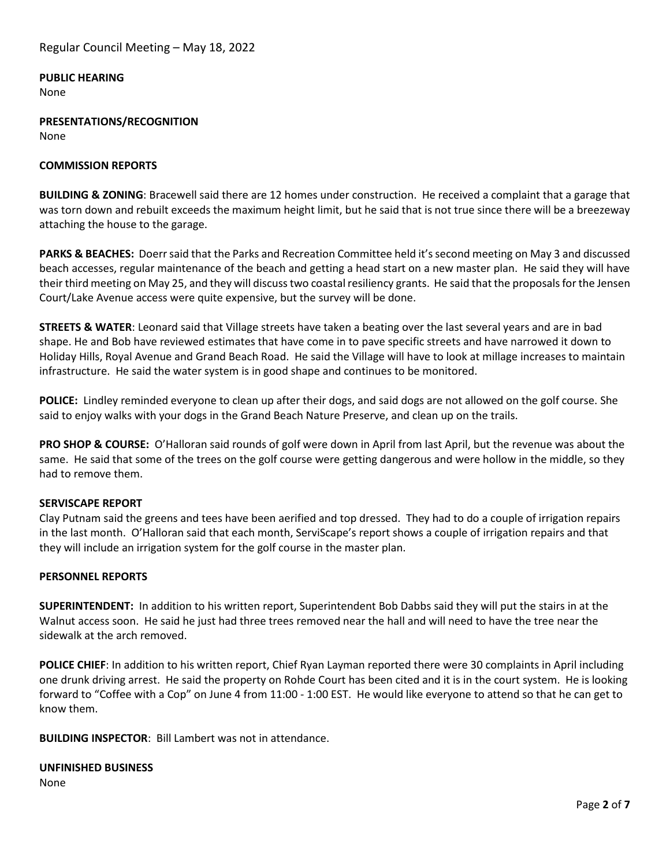### **PUBLIC HEARING**

None

**PRESENTATIONS/RECOGNITION** None

### **COMMISSION REPORTS**

**BUILDING & ZONING**: Bracewell said there are 12 homes under construction. He received a complaint that a garage that was torn down and rebuilt exceeds the maximum height limit, but he said that is not true since there will be a breezeway attaching the house to the garage.

**PARKS & BEACHES:** Doerr said that the Parks and Recreation Committee held it's second meeting on May 3 and discussed beach accesses, regular maintenance of the beach and getting a head start on a new master plan. He said they will have their third meeting on May 25, and they will discuss two coastal resiliency grants. He said that the proposals for the Jensen Court/Lake Avenue access were quite expensive, but the survey will be done.

**STREETS & WATER**: Leonard said that Village streets have taken a beating over the last several years and are in bad shape. He and Bob have reviewed estimates that have come in to pave specific streets and have narrowed it down to Holiday Hills, Royal Avenue and Grand Beach Road. He said the Village will have to look at millage increases to maintain infrastructure. He said the water system is in good shape and continues to be monitored.

**POLICE:** Lindley reminded everyone to clean up after their dogs, and said dogs are not allowed on the golf course. She said to enjoy walks with your dogs in the Grand Beach Nature Preserve, and clean up on the trails.

**PRO SHOP & COURSE:** O'Halloran said rounds of golf were down in April from last April, but the revenue was about the same. He said that some of the trees on the golf course were getting dangerous and were hollow in the middle, so they had to remove them.

#### **SERVISCAPE REPORT**

Clay Putnam said the greens and tees have been aerified and top dressed. They had to do a couple of irrigation repairs in the last month. O'Halloran said that each month, ServiScape's report shows a couple of irrigation repairs and that they will include an irrigation system for the golf course in the master plan.

#### **PERSONNEL REPORTS**

**SUPERINTENDENT:** In addition to his written report, Superintendent Bob Dabbs said they will put the stairs in at the Walnut access soon. He said he just had three trees removed near the hall and will need to have the tree near the sidewalk at the arch removed.

**POLICE CHIEF**: In addition to his written report, Chief Ryan Layman reported there were 30 complaints in April including one drunk driving arrest. He said the property on Rohde Court has been cited and it is in the court system. He is looking forward to "Coffee with a Cop" on June 4 from 11:00 - 1:00 EST. He would like everyone to attend so that he can get to know them.

**BUILDING INSPECTOR**: Bill Lambert was not in attendance.

#### **UNFINISHED BUSINESS**

None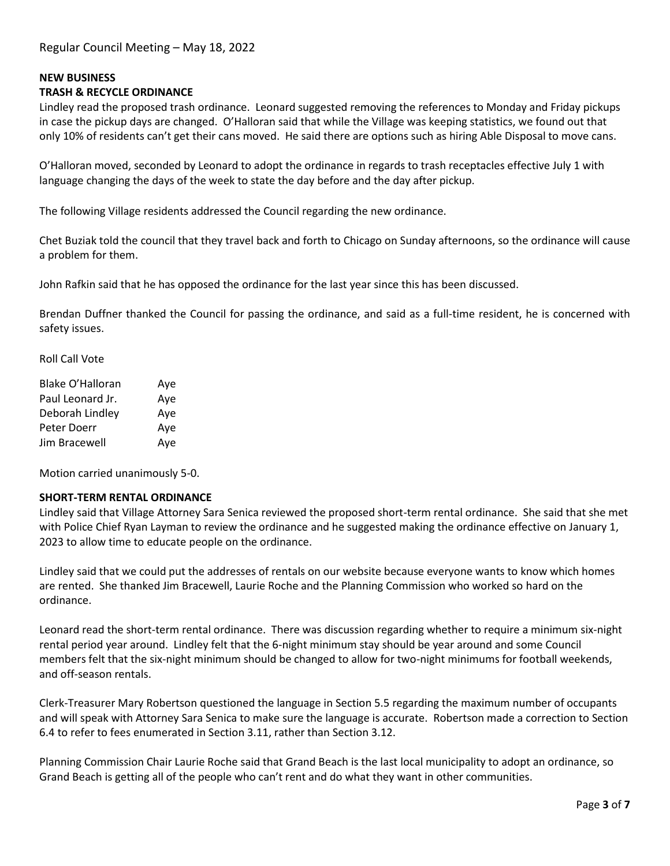# **NEW BUSINESS**

# **TRASH & RECYCLE ORDINANCE**

Lindley read the proposed trash ordinance. Leonard suggested removing the references to Monday and Friday pickups in case the pickup days are changed. O'Halloran said that while the Village was keeping statistics, we found out that only 10% of residents can't get their cans moved. He said there are options such as hiring Able Disposal to move cans.

O'Halloran moved, seconded by Leonard to adopt the ordinance in regards to trash receptacles effective July 1 with language changing the days of the week to state the day before and the day after pickup.

The following Village residents addressed the Council regarding the new ordinance.

Chet Buziak told the council that they travel back and forth to Chicago on Sunday afternoons, so the ordinance will cause a problem for them.

John Rafkin said that he has opposed the ordinance for the last year since this has been discussed.

Brendan Duffner thanked the Council for passing the ordinance, and said as a full-time resident, he is concerned with safety issues.

Roll Call Vote

| Blake O'Halloran | Aye |
|------------------|-----|
| Paul Leonard Jr. | Aye |
| Deborah Lindley  | Aye |
| Peter Doerr      | Aye |
| Jim Bracewell    | Aye |

Motion carried unanimously 5-0.

#### **SHORT-TERM RENTAL ORDINANCE**

Lindley said that Village Attorney Sara Senica reviewed the proposed short-term rental ordinance. She said that she met with Police Chief Ryan Layman to review the ordinance and he suggested making the ordinance effective on January 1, 2023 to allow time to educate people on the ordinance.

Lindley said that we could put the addresses of rentals on our website because everyone wants to know which homes are rented. She thanked Jim Bracewell, Laurie Roche and the Planning Commission who worked so hard on the ordinance.

Leonard read the short-term rental ordinance. There was discussion regarding whether to require a minimum six-night rental period year around. Lindley felt that the 6-night minimum stay should be year around and some Council members felt that the six-night minimum should be changed to allow for two-night minimums for football weekends, and off-season rentals.

Clerk-Treasurer Mary Robertson questioned the language in Section 5.5 regarding the maximum number of occupants and will speak with Attorney Sara Senica to make sure the language is accurate. Robertson made a correction to Section 6.4 to refer to fees enumerated in Section 3.11, rather than Section 3.12.

Planning Commission Chair Laurie Roche said that Grand Beach is the last local municipality to adopt an ordinance, so Grand Beach is getting all of the people who can't rent and do what they want in other communities.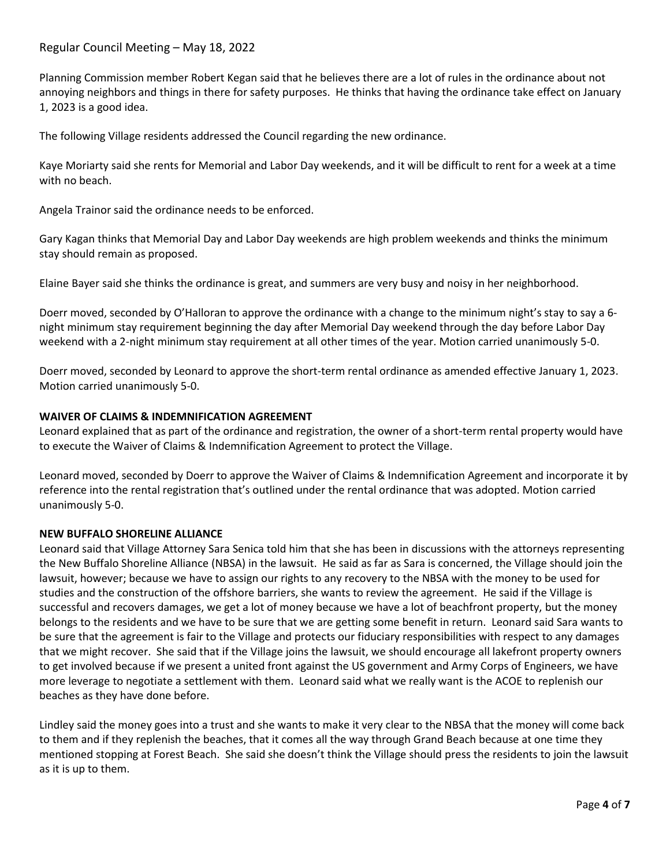# Regular Council Meeting – May 18, 2022

Planning Commission member Robert Kegan said that he believes there are a lot of rules in the ordinance about not annoying neighbors and things in there for safety purposes. He thinks that having the ordinance take effect on January 1, 2023 is a good idea.

The following Village residents addressed the Council regarding the new ordinance.

Kaye Moriarty said she rents for Memorial and Labor Day weekends, and it will be difficult to rent for a week at a time with no beach.

Angela Trainor said the ordinance needs to be enforced.

Gary Kagan thinks that Memorial Day and Labor Day weekends are high problem weekends and thinks the minimum stay should remain as proposed.

Elaine Bayer said she thinks the ordinance is great, and summers are very busy and noisy in her neighborhood.

Doerr moved, seconded by O'Halloran to approve the ordinance with a change to the minimum night's stay to say a 6 night minimum stay requirement beginning the day after Memorial Day weekend through the day before Labor Day weekend with a 2-night minimum stay requirement at all other times of the year. Motion carried unanimously 5-0.

Doerr moved, seconded by Leonard to approve the short-term rental ordinance as amended effective January 1, 2023. Motion carried unanimously 5-0.

### **WAIVER OF CLAIMS & INDEMNIFICATION AGREEMENT**

Leonard explained that as part of the ordinance and registration, the owner of a short-term rental property would have to execute the Waiver of Claims & Indemnification Agreement to protect the Village.

Leonard moved, seconded by Doerr to approve the Waiver of Claims & Indemnification Agreement and incorporate it by reference into the rental registration that's outlined under the rental ordinance that was adopted. Motion carried unanimously 5-0.

#### **NEW BUFFALO SHORELINE ALLIANCE**

Leonard said that Village Attorney Sara Senica told him that she has been in discussions with the attorneys representing the New Buffalo Shoreline Alliance (NBSA) in the lawsuit. He said as far as Sara is concerned, the Village should join the lawsuit, however; because we have to assign our rights to any recovery to the NBSA with the money to be used for studies and the construction of the offshore barriers, she wants to review the agreement. He said if the Village is successful and recovers damages, we get a lot of money because we have a lot of beachfront property, but the money belongs to the residents and we have to be sure that we are getting some benefit in return. Leonard said Sara wants to be sure that the agreement is fair to the Village and protects our fiduciary responsibilities with respect to any damages that we might recover. She said that if the Village joins the lawsuit, we should encourage all lakefront property owners to get involved because if we present a united front against the US government and Army Corps of Engineers, we have more leverage to negotiate a settlement with them. Leonard said what we really want is the ACOE to replenish our beaches as they have done before.

Lindley said the money goes into a trust and she wants to make it very clear to the NBSA that the money will come back to them and if they replenish the beaches, that it comes all the way through Grand Beach because at one time they mentioned stopping at Forest Beach. She said she doesn't think the Village should press the residents to join the lawsuit as it is up to them.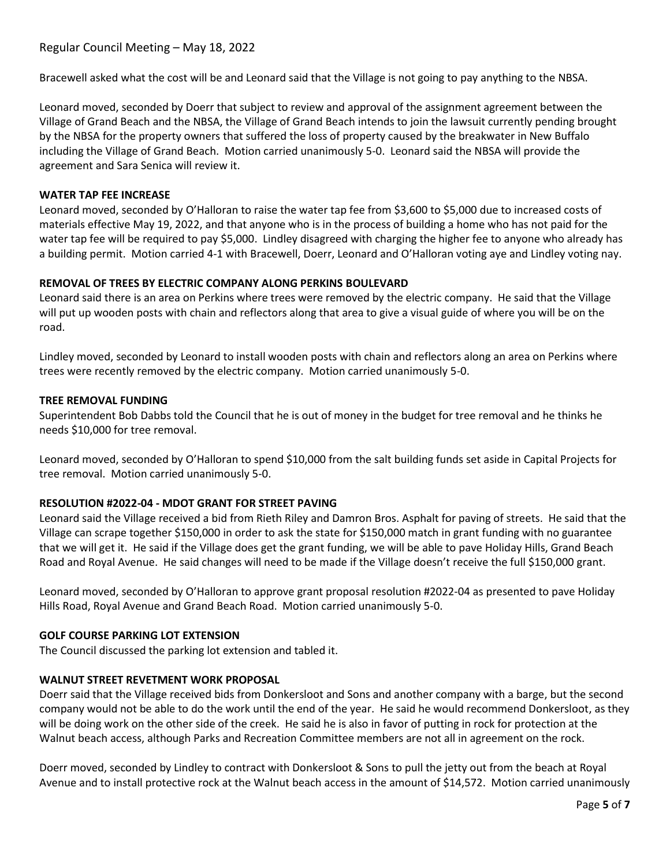Bracewell asked what the cost will be and Leonard said that the Village is not going to pay anything to the NBSA.

Leonard moved, seconded by Doerr that subject to review and approval of the assignment agreement between the Village of Grand Beach and the NBSA, the Village of Grand Beach intends to join the lawsuit currently pending brought by the NBSA for the property owners that suffered the loss of property caused by the breakwater in New Buffalo including the Village of Grand Beach. Motion carried unanimously 5-0. Leonard said the NBSA will provide the agreement and Sara Senica will review it.

# **WATER TAP FEE INCREASE**

Leonard moved, seconded by O'Halloran to raise the water tap fee from \$3,600 to \$5,000 due to increased costs of materials effective May 19, 2022, and that anyone who is in the process of building a home who has not paid for the water tap fee will be required to pay \$5,000. Lindley disagreed with charging the higher fee to anyone who already has a building permit. Motion carried 4-1 with Bracewell, Doerr, Leonard and O'Halloran voting aye and Lindley voting nay.

# **REMOVAL OF TREES BY ELECTRIC COMPANY ALONG PERKINS BOULEVARD**

Leonard said there is an area on Perkins where trees were removed by the electric company. He said that the Village will put up wooden posts with chain and reflectors along that area to give a visual guide of where you will be on the road.

Lindley moved, seconded by Leonard to install wooden posts with chain and reflectors along an area on Perkins where trees were recently removed by the electric company. Motion carried unanimously 5-0.

# **TREE REMOVAL FUNDING**

Superintendent Bob Dabbs told the Council that he is out of money in the budget for tree removal and he thinks he needs \$10,000 for tree removal.

Leonard moved, seconded by O'Halloran to spend \$10,000 from the salt building funds set aside in Capital Projects for tree removal. Motion carried unanimously 5-0.

# **RESOLUTION #2022-04 - MDOT GRANT FOR STREET PAVING**

Leonard said the Village received a bid from Rieth Riley and Damron Bros. Asphalt for paving of streets. He said that the Village can scrape together \$150,000 in order to ask the state for \$150,000 match in grant funding with no guarantee that we will get it. He said if the Village does get the grant funding, we will be able to pave Holiday Hills, Grand Beach Road and Royal Avenue. He said changes will need to be made if the Village doesn't receive the full \$150,000 grant.

Leonard moved, seconded by O'Halloran to approve grant proposal resolution #2022-04 as presented to pave Holiday Hills Road, Royal Avenue and Grand Beach Road. Motion carried unanimously 5-0.

# **GOLF COURSE PARKING LOT EXTENSION**

The Council discussed the parking lot extension and tabled it.

# **WALNUT STREET REVETMENT WORK PROPOSAL**

Doerr said that the Village received bids from Donkersloot and Sons and another company with a barge, but the second company would not be able to do the work until the end of the year. He said he would recommend Donkersloot, as they will be doing work on the other side of the creek. He said he is also in favor of putting in rock for protection at the Walnut beach access, although Parks and Recreation Committee members are not all in agreement on the rock.

Doerr moved, seconded by Lindley to contract with Donkersloot & Sons to pull the jetty out from the beach at Royal Avenue and to install protective rock at the Walnut beach access in the amount of \$14,572. Motion carried unanimously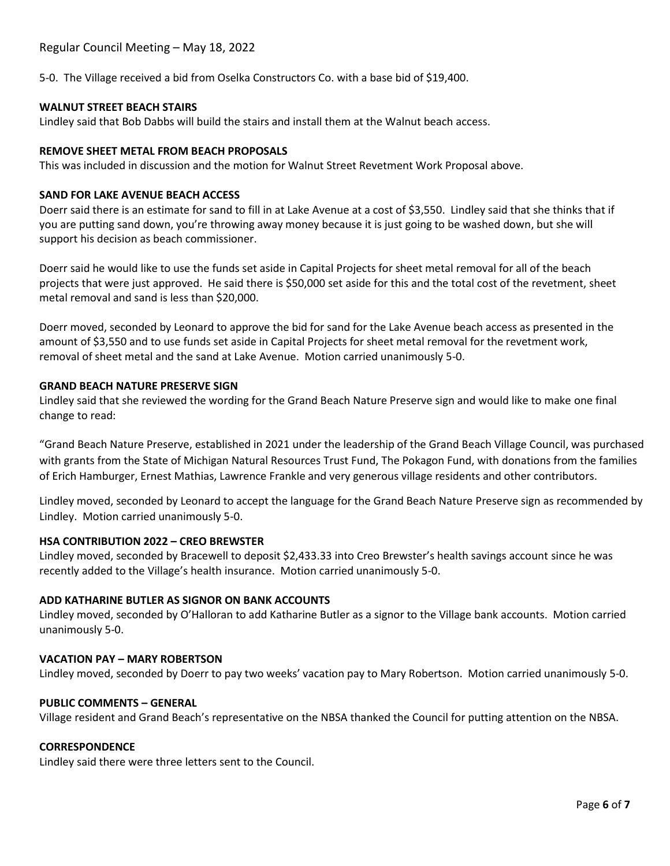5-0. The Village received a bid from Oselka Constructors Co. with a base bid of \$19,400.

# **WALNUT STREET BEACH STAIRS**

Lindley said that Bob Dabbs will build the stairs and install them at the Walnut beach access.

# **REMOVE SHEET METAL FROM BEACH PROPOSALS**

This was included in discussion and the motion for Walnut Street Revetment Work Proposal above.

# **SAND FOR LAKE AVENUE BEACH ACCESS**

Doerr said there is an estimate for sand to fill in at Lake Avenue at a cost of \$3,550. Lindley said that she thinks that if you are putting sand down, you're throwing away money because it is just going to be washed down, but she will support his decision as beach commissioner.

Doerr said he would like to use the funds set aside in Capital Projects for sheet metal removal for all of the beach projects that were just approved. He said there is \$50,000 set aside for this and the total cost of the revetment, sheet metal removal and sand is less than \$20,000.

Doerr moved, seconded by Leonard to approve the bid for sand for the Lake Avenue beach access as presented in the amount of \$3,550 and to use funds set aside in Capital Projects for sheet metal removal for the revetment work, removal of sheet metal and the sand at Lake Avenue. Motion carried unanimously 5-0.

# **GRAND BEACH NATURE PRESERVE SIGN**

Lindley said that she reviewed the wording for the Grand Beach Nature Preserve sign and would like to make one final change to read:

"Grand Beach Nature Preserve, established in 2021 under the leadership of the Grand Beach Village Council, was purchased with grants from the State of Michigan Natural Resources Trust Fund, The Pokagon Fund, with donations from the families of Erich Hamburger, Ernest Mathias, Lawrence Frankle and very generous village residents and other contributors.

Lindley moved, seconded by Leonard to accept the language for the Grand Beach Nature Preserve sign as recommended by Lindley. Motion carried unanimously 5-0.

# **HSA CONTRIBUTION 2022 – CREO BREWSTER**

Lindley moved, seconded by Bracewell to deposit \$2,433.33 into Creo Brewster's health savings account since he was recently added to the Village's health insurance. Motion carried unanimously 5-0.

# **ADD KATHARINE BUTLER AS SIGNOR ON BANK ACCOUNTS**

Lindley moved, seconded by O'Halloran to add Katharine Butler as a signor to the Village bank accounts. Motion carried unanimously 5-0.

# **VACATION PAY – MARY ROBERTSON**

Lindley moved, seconded by Doerr to pay two weeks' vacation pay to Mary Robertson. Motion carried unanimously 5-0.

# **PUBLIC COMMENTS – GENERAL**

Village resident and Grand Beach's representative on the NBSA thanked the Council for putting attention on the NBSA.

# **CORRESPONDENCE**

Lindley said there were three letters sent to the Council.